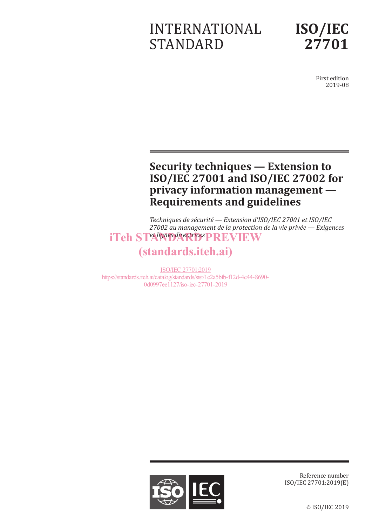# INTERNATIONAL STANDARD



First edition 2019-08

# **Security techniques — Extension to ISO/IEC 27001 and ISO/IEC 27002 for privacy information management — Requirements and guidelines**

*Techniques de sécurité — Extension d'ISO/IEC 27001 et ISO/IEC 27002 au management de la protection de la vie privée — Exigences*  iTeh ST<sup>et</sup>lignes directrices PREVIEW

# (standards.iteh.ai)

ISO/IEC 27701:2019 https://standards.iteh.ai/catalog/standards/sist/1c2a5bfb-f12d-4c44-8690- 0d0997ee1127/iso-iec-27701-2019



Reference number ISO/IEC 27701:2019(E)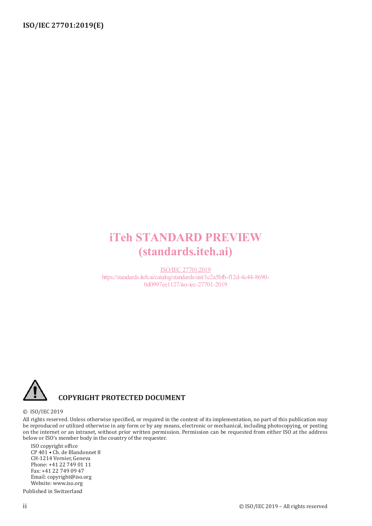# iTeh STANDARD PREVIEW (standards.iteh.ai)

ISO/IEC 27701:2019 https://standards.iteh.ai/catalog/standards/sist/1c2a5bfb-f12d-4c44-8690- 0d0997ee1127/iso-iec-27701-2019



# **COPYRIGHT PROTECTED DOCUMENT**

#### © ISO/IEC 2019

All rights reserved. Unless otherwise specified, or required in the context of its implementation, no part of this publication may be reproduced or utilized otherwise in any form or by any means, electronic or mechanical, including photocopying, or posting on the internet or an intranet, without prior written permission. Permission can be requested from either ISO at the address below or ISO's member body in the country of the requester.

ISO copyright office CP 401 • Ch. de Blandonnet 8 CH-1214 Vernier, Geneva Phone: +41 22 749 01 11 Fax: +41 22 749 09 47 Email: copyright@iso.org Website: www.iso.org

Published in Switzerland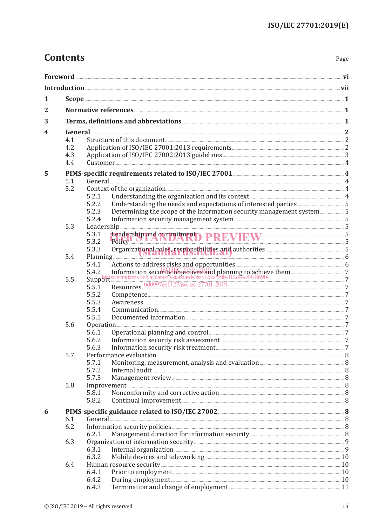# **Contents**

| 1 |                                                                                                                                                                                                                                             | $\textbf{Scope} \texttt{} \texttt{} \texttt{} \texttt{} \texttt{} \texttt{} \texttt{} \texttt{} \texttt{} \texttt{} \texttt{} \texttt{} \texttt{} \texttt{} \texttt{} \texttt{} \texttt{} \texttt{} \texttt{} \texttt{} \texttt{} \texttt{} \texttt{} \texttt{} \texttt{} \texttt{} \texttt{} \texttt{} \texttt{} \texttt{} \texttt{} \texttt{} \texttt{} \texttt{} \texttt{} \texttt{$ |  |  |  |
|---|---------------------------------------------------------------------------------------------------------------------------------------------------------------------------------------------------------------------------------------------|-----------------------------------------------------------------------------------------------------------------------------------------------------------------------------------------------------------------------------------------------------------------------------------------------------------------------------------------------------------------------------------------|--|--|--|
| 2 |                                                                                                                                                                                                                                             |                                                                                                                                                                                                                                                                                                                                                                                         |  |  |  |
| 3 |                                                                                                                                                                                                                                             |                                                                                                                                                                                                                                                                                                                                                                                         |  |  |  |
| 4 |                                                                                                                                                                                                                                             |                                                                                                                                                                                                                                                                                                                                                                                         |  |  |  |
|   | <b>General 22 Contract 20 All 20 All 20 All 20 All 20 All 20 All 20 All 20 All 20 All 20 All 20 All 20 All 20 All 20 All 20 All 20 All 20 All 20 All 20 All 20 All 20 All 20 All 20 All 20 All 20 All 20 All 20 All 20 All 20 Al</b><br>4.1 |                                                                                                                                                                                                                                                                                                                                                                                         |  |  |  |
|   | 4.2                                                                                                                                                                                                                                         |                                                                                                                                                                                                                                                                                                                                                                                         |  |  |  |
|   | 4.3                                                                                                                                                                                                                                         |                                                                                                                                                                                                                                                                                                                                                                                         |  |  |  |
|   | 4.4                                                                                                                                                                                                                                         |                                                                                                                                                                                                                                                                                                                                                                                         |  |  |  |
| 5 |                                                                                                                                                                                                                                             |                                                                                                                                                                                                                                                                                                                                                                                         |  |  |  |
|   | 5.1                                                                                                                                                                                                                                         |                                                                                                                                                                                                                                                                                                                                                                                         |  |  |  |
|   | 5.2                                                                                                                                                                                                                                         |                                                                                                                                                                                                                                                                                                                                                                                         |  |  |  |
|   |                                                                                                                                                                                                                                             | 5.2.1                                                                                                                                                                                                                                                                                                                                                                                   |  |  |  |
|   |                                                                                                                                                                                                                                             | 5.2.2                                                                                                                                                                                                                                                                                                                                                                                   |  |  |  |
|   |                                                                                                                                                                                                                                             | 5.2.3                                                                                                                                                                                                                                                                                                                                                                                   |  |  |  |
|   |                                                                                                                                                                                                                                             | 5.2.4                                                                                                                                                                                                                                                                                                                                                                                   |  |  |  |
|   | 5.3                                                                                                                                                                                                                                         |                                                                                                                                                                                                                                                                                                                                                                                         |  |  |  |
|   |                                                                                                                                                                                                                                             | Feadership and commitment PREVIEW 35<br>5.3.1<br>5.3.2                                                                                                                                                                                                                                                                                                                                  |  |  |  |
|   |                                                                                                                                                                                                                                             |                                                                                                                                                                                                                                                                                                                                                                                         |  |  |  |
|   | 5.4                                                                                                                                                                                                                                         | 5.3.3 Organizational reles responsibilities and authorities                                                                                                                                                                                                                                                                                                                             |  |  |  |
|   |                                                                                                                                                                                                                                             | 5.4.1                                                                                                                                                                                                                                                                                                                                                                                   |  |  |  |
|   |                                                                                                                                                                                                                                             |                                                                                                                                                                                                                                                                                                                                                                                         |  |  |  |
|   | 5.5                                                                                                                                                                                                                                         |                                                                                                                                                                                                                                                                                                                                                                                         |  |  |  |
|   |                                                                                                                                                                                                                                             | Resources 0d0997ee1127/iso-iec-27701-2019<br>5.5.1                                                                                                                                                                                                                                                                                                                                      |  |  |  |
|   |                                                                                                                                                                                                                                             | 5.5.2                                                                                                                                                                                                                                                                                                                                                                                   |  |  |  |
|   |                                                                                                                                                                                                                                             | 5.5.3                                                                                                                                                                                                                                                                                                                                                                                   |  |  |  |
|   |                                                                                                                                                                                                                                             | 5.5.4                                                                                                                                                                                                                                                                                                                                                                                   |  |  |  |
|   |                                                                                                                                                                                                                                             | 5.5.5                                                                                                                                                                                                                                                                                                                                                                                   |  |  |  |
|   | 5.6                                                                                                                                                                                                                                         |                                                                                                                                                                                                                                                                                                                                                                                         |  |  |  |
|   |                                                                                                                                                                                                                                             | 5.6.1                                                                                                                                                                                                                                                                                                                                                                                   |  |  |  |
|   |                                                                                                                                                                                                                                             | 5.6.2                                                                                                                                                                                                                                                                                                                                                                                   |  |  |  |
|   |                                                                                                                                                                                                                                             | 5.6.3                                                                                                                                                                                                                                                                                                                                                                                   |  |  |  |
|   | 5.7                                                                                                                                                                                                                                         |                                                                                                                                                                                                                                                                                                                                                                                         |  |  |  |
|   |                                                                                                                                                                                                                                             | 5.7.1                                                                                                                                                                                                                                                                                                                                                                                   |  |  |  |
|   |                                                                                                                                                                                                                                             | 5.7.2<br>5.7.3                                                                                                                                                                                                                                                                                                                                                                          |  |  |  |
|   | 5.8                                                                                                                                                                                                                                         |                                                                                                                                                                                                                                                                                                                                                                                         |  |  |  |
|   |                                                                                                                                                                                                                                             | 5.8.1                                                                                                                                                                                                                                                                                                                                                                                   |  |  |  |
|   |                                                                                                                                                                                                                                             | 5.8.2                                                                                                                                                                                                                                                                                                                                                                                   |  |  |  |
|   |                                                                                                                                                                                                                                             |                                                                                                                                                                                                                                                                                                                                                                                         |  |  |  |
| 6 | 6.1                                                                                                                                                                                                                                         |                                                                                                                                                                                                                                                                                                                                                                                         |  |  |  |
|   |                                                                                                                                                                                                                                             |                                                                                                                                                                                                                                                                                                                                                                                         |  |  |  |
|   | 6.2                                                                                                                                                                                                                                         | 6.2.1                                                                                                                                                                                                                                                                                                                                                                                   |  |  |  |
|   | 6.3                                                                                                                                                                                                                                         |                                                                                                                                                                                                                                                                                                                                                                                         |  |  |  |
|   |                                                                                                                                                                                                                                             | 6.3.1                                                                                                                                                                                                                                                                                                                                                                                   |  |  |  |
|   |                                                                                                                                                                                                                                             | 6.3.2                                                                                                                                                                                                                                                                                                                                                                                   |  |  |  |
|   | 6.4                                                                                                                                                                                                                                         |                                                                                                                                                                                                                                                                                                                                                                                         |  |  |  |
|   |                                                                                                                                                                                                                                             | 6.4.1                                                                                                                                                                                                                                                                                                                                                                                   |  |  |  |
|   |                                                                                                                                                                                                                                             | 6.4.2                                                                                                                                                                                                                                                                                                                                                                                   |  |  |  |
|   |                                                                                                                                                                                                                                             | 6.4.3                                                                                                                                                                                                                                                                                                                                                                                   |  |  |  |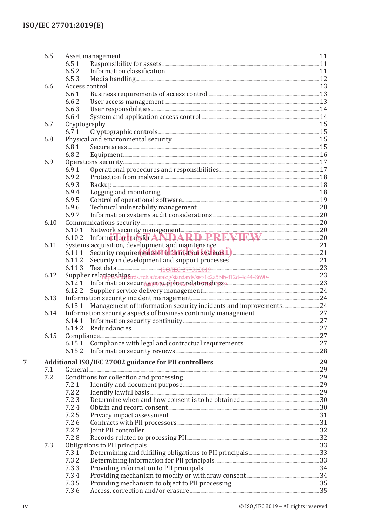| 6.5  |                                                                               |  |
|------|-------------------------------------------------------------------------------|--|
|      | 6.5.1                                                                         |  |
|      | 6.5.2                                                                         |  |
|      | 6.5.3                                                                         |  |
| 6.6  |                                                                               |  |
|      | 6.6.1                                                                         |  |
|      | 6.6.2                                                                         |  |
|      | 6.6.3                                                                         |  |
|      | 6.6.4                                                                         |  |
| 6.7  |                                                                               |  |
|      | 6.7.1                                                                         |  |
| 6.8  |                                                                               |  |
|      | 6.8.1                                                                         |  |
|      | 6.8.2                                                                         |  |
| 6.9  |                                                                               |  |
|      | 6.9.1                                                                         |  |
|      | 6.9.2                                                                         |  |
|      | 6.9.3                                                                         |  |
|      | 6.9.4                                                                         |  |
|      | 6.9.5                                                                         |  |
|      | 6.9.6                                                                         |  |
|      | 6.9.7                                                                         |  |
| 6.10 |                                                                               |  |
|      | 6.10.1                                                                        |  |
|      | Information transfer AMDARD PREVIEW 20<br>6.10.2                              |  |
| 6.11 |                                                                               |  |
|      | Security requirements of information systems 1.<br>6.11.1                     |  |
|      |                                                                               |  |
|      | 6.11.2                                                                        |  |
|      | 6.11.3                                                                        |  |
| 6.12 |                                                                               |  |
|      | 6.12.1                                                                        |  |
|      | 6.12.2                                                                        |  |
| 6.13 |                                                                               |  |
|      | 6.13.1                                                                        |  |
| 6.14 |                                                                               |  |
|      | 6.14.1                                                                        |  |
|      |                                                                               |  |
| 6.15 | Compliance 27                                                                 |  |
|      | 6.15.1                                                                        |  |
|      |                                                                               |  |
|      |                                                                               |  |
| 7.1  | Ceneral 29 29                                                                 |  |
| 7.2  |                                                                               |  |
|      | 7.2.1                                                                         |  |
|      | 7.2.2                                                                         |  |
|      | 7.2.3                                                                         |  |
|      | 7.2.4                                                                         |  |
|      | 7.2.5                                                                         |  |
|      | 7.2.6                                                                         |  |
|      | 7.2.7                                                                         |  |
|      | 7.2.8                                                                         |  |
| 7.3  | Obligations to PII principals 33                                              |  |
|      | 7.3.1                                                                         |  |
|      | Determining and fulfilling obligations to PII principals <b>Manufation</b> 33 |  |
|      | 7.3.2                                                                         |  |
|      | 7.3.3                                                                         |  |
|      | 7.3.4                                                                         |  |
|      | 7.3.5                                                                         |  |
|      | 7.3.6                                                                         |  |

 $\overline{7}$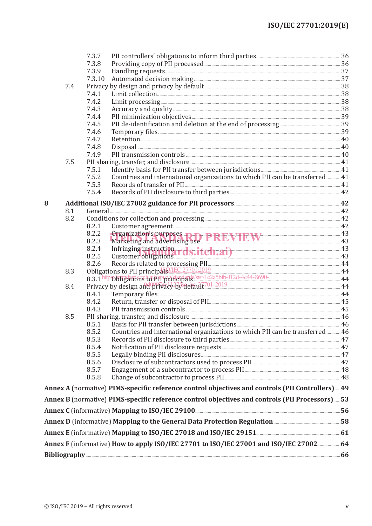|   |     | 7.3.7  |                                                                                                 |  |
|---|-----|--------|-------------------------------------------------------------------------------------------------|--|
|   |     | 7.3.8  |                                                                                                 |  |
|   |     | 7.3.9  |                                                                                                 |  |
|   |     | 7.3.10 |                                                                                                 |  |
|   | 7.4 |        |                                                                                                 |  |
|   |     | 7.4.1  |                                                                                                 |  |
|   |     | 7.4.2  |                                                                                                 |  |
|   |     | 7.4.3  |                                                                                                 |  |
|   |     | 7.4.4  |                                                                                                 |  |
|   |     | 7.4.5  |                                                                                                 |  |
|   |     | 7.4.6  |                                                                                                 |  |
|   |     | 7.4.7  |                                                                                                 |  |
|   |     | 7.4.8  |                                                                                                 |  |
|   |     | 7.4.9  |                                                                                                 |  |
|   | 7.5 |        |                                                                                                 |  |
|   |     | 7.5.1  |                                                                                                 |  |
|   |     | 7.5.2  | Countries and international organizations to which PII can be transferred  41                   |  |
|   |     | 7.5.3  |                                                                                                 |  |
|   |     | 7.5.4  |                                                                                                 |  |
| 8 |     |        |                                                                                                 |  |
|   | 8.1 |        |                                                                                                 |  |
|   | 8.2 |        |                                                                                                 |  |
|   |     | 8.2.1  |                                                                                                 |  |
|   |     | 8.2.2  | Organization's purposes REVIEW 343                                                              |  |
|   |     | 8.2.3  |                                                                                                 |  |
|   |     | 8.2.4  | Infringing instruction rels:iteh.ai) 33                                                         |  |
|   |     | 8.2.5  |                                                                                                 |  |
|   |     |        |                                                                                                 |  |
|   | 8.3 |        |                                                                                                 |  |
|   |     |        |                                                                                                 |  |
|   | 8.4 |        |                                                                                                 |  |
|   |     | 8.4.1  |                                                                                                 |  |
|   |     | 8.4.2  |                                                                                                 |  |
|   |     | 8.4.3  |                                                                                                 |  |
|   | 8.5 |        |                                                                                                 |  |
|   |     | 8.5.1  |                                                                                                 |  |
|   |     | 8.5.2  | 46 Countries and international organizations to which PII can be transferred  46                |  |
|   |     | 8.5.3  |                                                                                                 |  |
|   |     | 8.5.4  |                                                                                                 |  |
|   |     | 8.5.5  |                                                                                                 |  |
|   |     | 8.5.6  |                                                                                                 |  |
|   |     | 8.5.7  |                                                                                                 |  |
|   |     | 8.5.8  |                                                                                                 |  |
|   |     |        | Annex A (normative) PIMS-specific reference control objectives and controls (PII Controllers)49 |  |
|   |     |        | Annex B (normative) PIMS-specific reference control objectives and controls (PII Processors) 53 |  |
|   |     |        |                                                                                                 |  |
|   |     |        |                                                                                                 |  |
|   |     |        |                                                                                                 |  |
|   |     |        | Annex F (informative) How to apply ISO/IEC 27701 to ISO/IEC 27001 and ISO/IEC 2700264           |  |
|   |     |        |                                                                                                 |  |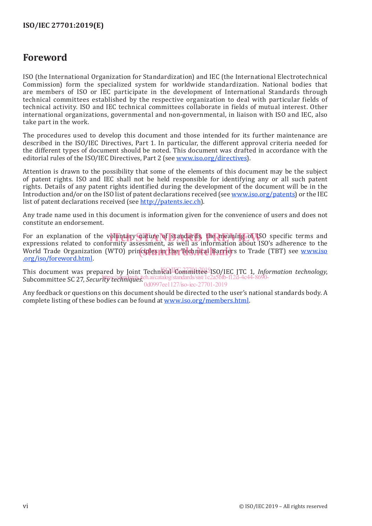# **Foreword**

ISO (the International Organization for Standardization) and IEC (the International Electrotechnical Commission) form the specialized system for worldwide standardization. National bodies that are members of ISO or IEC participate in the development of International Standards through technical committees established by the respective organization to deal with particular fields of technical activity. ISO and IEC technical committees collaborate in fields of mutual interest. Other international organizations, governmental and non-governmental, in liaison with ISO and IEC, also take part in the work.

The procedures used to develop this document and those intended for its further maintenance are described in the ISO/IEC Directives, Part 1. In particular, the different approval criteria needed for the different types of document should be noted. This document was drafted in accordance with the editorial rules of the ISO/IEC Directives, Part 2 (see www.iso.org/directives).

Attention is drawn to the possibility that some of the elements of this document may be the subject of patent rights. ISO and IEC shall not be held responsible for identifying any or all such patent rights. Details of any patent rights identified during the development of the document will be in the Introduction and/or on the ISO list of patent declarations received (see www.iso.org/patents) or the IEC list of patent declarations received (see http://patents.iec.ch).

Any trade name used in this document is information given for the convenience of users and does not constitute an endorsement.

For an explanation of the voluntary nature of standards, the meaning of ISO specific terms and<br>expressions related to conformity assessment, as well as information about ISO's adherence to the expressions related to conformity assessment, as well as information about ISO's adherence to the world Trade Organization (WTO) principles in the Technical Barriers to Trade (TBT) see www.iso .org/iso/foreword.html.

This document was prepared by Joint Technical Committee ISO/IEC JTC 1, *Information technology*, Subcommittee SC 27, *Security techniques*. https://standards.iteh.ai/catalog/standards/sist/1c2a5bfb-f12d-4c44-8690- 0d0997ee1127/iso-iec-27701-2019

Any feedback or questions on this document should be directed to the user's national standards body. A complete listing of these bodies can be found at www.iso.org/members.html.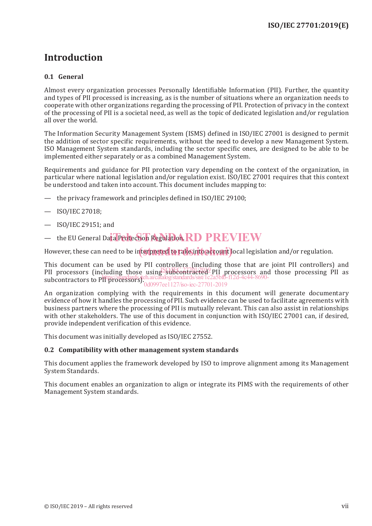# **Introduction**

# **0.1 General**

Almost every organization processes Personally Identifiable Information (PII). Further, the quantity and types of PII processed is increasing, as is the number of situations where an organization needs to cooperate with other organizations regarding the processing of PII. Protection of privacy in the context of the processing of PII is a societal need, as well as the topic of dedicated legislation and/or regulation all over the world.

The Information Security Management System (ISMS) defined in ISO/IEC 27001 is designed to permit the addition of sector specific requirements, without the need to develop a new Management System. ISO Management System standards, including the sector specific ones, are designed to be able to be implemented either separately or as a combined Management System.

Requirements and guidance for PII protection vary depending on the context of the organization, in particular where national legislation and/or regulation exist. ISO/IEC 27001 requires that this context be understood and taken into account. This document includes mapping to:

- the privacy framework and principles defined in ISO/IEC 29100;
- ISO/IEC 27018;
- ISO/IEC 29151; and
- $-$  the EU General Data Protection Regulation. RD PREVIEW

However, these can need to be in<mark>terpreted to take into account</mark> local legislation and/or regulation.

This document can be used by PII controllers (including those that are joint PII controllers) and PII processors (including those using subcontracted PII processors and those processing PII as subcontractors to PII processors).<br>subcontractors to PII processors). 0d0997ee1127/iso-iec-27701-2019

An organization complying with the requirements in this document will generate documentary evidence of how it handles the processing of PII. Such evidence can be used to facilitate agreements with business partners where the processing of PII is mutually relevant. This can also assist in relationships with other stakeholders. The use of this document in conjunction with ISO/IEC 27001 can, if desired, provide independent verification of this evidence.

This document was initially developed as ISO/IEC 27552.

#### **0.2 Compatibility with other management system standards**

This document applies the framework developed by ISO to improve alignment among its Management System Standards.

This document enables an organization to align or integrate its PIMS with the requirements of other Management System standards.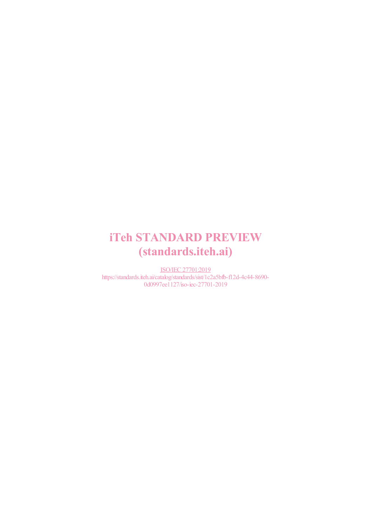# iTeh STANDARD PREVIEW (standards.iteh.ai)

ISO/IEC 27701:2019 https://standards.iteh.ai/catalog/standards/sist/1c2a5bfb-f12d-4c44-8690- 0d0997ee1127/iso-iec-27701-2019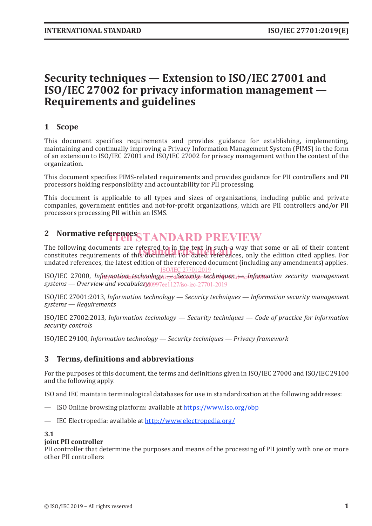# **Security techniques — Extension to ISO/IEC 27001 and ISO/IEC 27002 for privacy information management — Requirements and guidelines**

# **1 Scope**

This document specifies requirements and provides guidance for establishing, implementing, maintaining and continually improving a Privacy Information Management System (PIMS) in the form of an extension to ISO/IEC 27001 and ISO/IEC 27002 for privacy management within the context of the organization.

This document specifies PIMS-related requirements and provides guidance for PII controllers and PII processors holding responsibility and accountability for PII processing.

This document is applicable to all types and sizes of organizations, including public and private companies, government entities and not-for-profit organizations, which are PII controllers and/or PII processors processing PII within an ISMS.

# 2 Normative references **STANDARD PREVIEW**

The following documents are referred to in the text in such a way that some or all of their content The following documents are referred to in the text in such a way that some or all of their content constitutes requirements of this document. For dated references, only the edition cited applies. For undated references, the latest edition of the referenced document (including any amendments) applies. ISO/IEC 27701:2019

ISO/IEC 27000, Inf<u>ormation technology <sub>log</sub> tSecurity techniques +</u> Anformation security management *systems — Overview and vocabulary* 0d0997ee1127/iso-iec-27701-2019

ISO/IEC 27001:2013, *Information technology — Security techniques — Information security management systems — Requirements*

ISO/IEC 27002:2013, *Information technology — Security techniques — Code of practice for information security controls*

ISO/IEC 29100, *Information technology — Security techniques — Privacy framework*

# **3 Terms, definitions and abbreviations**

For the purposes of this document, the terms and definitions given in ISO/IEC 27000 and ISO/IEC 29100 and the following apply.

ISO and IEC maintain terminological databases for use in standardization at the following addresses:

- ISO Online browsing platform: available at https://www.iso.org/obp
- IEC Electropedia: available at http://www.electropedia.org/

## **3.1**

## **joint PII controller**

PII controller that determine the purposes and means of the processing of PII jointly with one or more other PII controllers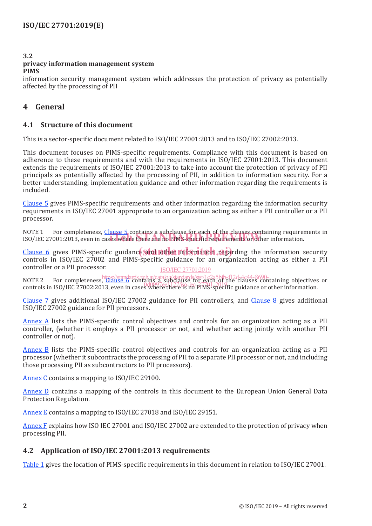#### **3.2 privacy information management system**

**PIMS**

information security management system which addresses the protection of privacy as potentially affected by the processing of PII

# **4 General**

# **4.1 Structure of this document**

This is a sector-specific document related to ISO/IEC 27001:2013 and to ISO/IEC 27002:2013.

This document focuses on PIMS-specific requirements. Compliance with this document is based on adherence to these requirements and with the requirements in ISO/IEC 27001:2013. This document extends the requirements of ISO/IEC 27001:2013 to take into account the protection of privacy of PII principals as potentially affected by the processing of PII, in addition to information security. For a better understanding, implementation guidance and other information regarding the requirements is included.

Clause 5 gives PIMS-specific requirements and other information regarding the information security requirements in ISO/IEC 27001 appropriate to an organization acting as either a PII controller or a PII processor.

NOTE 1 For completeness, Clause 5 contains a subclause for each of the clauses containing requirements in NOTE I For completeness, <u>Glause 5</u> contains a subclause for each of the clauses containing require<br>ISO/IEC 27001:2013, even in cases where there are no PIMS-specific requirements or other information.

Clause 6 gives PIMS-specific guidance sind lother information regarding the information security controls in ISO/IEC 27002 and PIMS-specific guidance for an organization acting as either a PII controller or a PII processor. ISO/IEC 27701:2019

NOTE 2 For completeness, *Clause 6* contained for each of the clause for each of the clauses containing objectives or controls in ISO/IEC 27002:2013, even in cases where there is no PIMS-specific guidance or other information.

Clause 7 gives additional ISO/IEC 27002 guidance for PII controllers, and Clause 8 gives additional ISO/IEC 27002 guidance for PII processors.

Annex A lists the PIMS-specific control objectives and controls for an organization acting as a PII controller, (whether it employs a PII processor or not, and whether acting jointly with another PII controller or not).

Annex B lists the PIMS-specific control objectives and controls for an organization acting as a PII processor (whether it subcontracts the processing of PII to a separate PII processor or not, and including those processing PII as subcontractors to PII processors).

Annex C contains a mapping to ISO/IEC 29100.

Annex D contains a mapping of the controls in this document to the European Union General Data Protection Regulation.

Annex E contains a mapping to ISO/IEC 27018 and ISO/IEC 29151.

Annex F explains how ISO IEC 27001 and ISO/IEC 27002 are extended to the protection of privacy when processing PII.

## **4.2 Application of ISO/IEC 27001:2013 requirements**

Table 1 gives the location of PIMS-specific requirements in this document in relation to ISO/IEC 27001.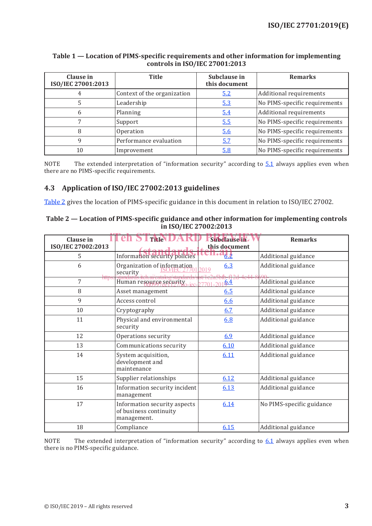| Clause in<br>ISO/IEC 27001:2013 | <b>Title</b>                | Subclause in<br>this document | <b>Remarks</b>                |
|---------------------------------|-----------------------------|-------------------------------|-------------------------------|
| 4                               | Context of the organization | 5.2                           | Additional requirements       |
| 5                               | Leadership                  | 5.3                           | No PIMS-specific requirements |
| 6                               | Planning                    | 5.4                           | Additional requirements       |
| 7                               | Support                     | 5.5                           | No PIMS-specific requirements |
| 8                               | Operation                   | 5.6                           | No PIMS-specific requirements |
| 9                               | Performance evaluation      | 5.7                           | No PIMS-specific requirements |
| 10                              | Improvement                 | 5.8                           | No PIMS-specific requirements |

#### **Table 1 — Location of PIMS-specific requirements and other information for implementing controls in ISO/IEC 27001:2013**

NOTE The extended interpretation of "information security" according to 5.1 always applies even when there are no PIMS-specific requirements.

# **4.3 Application of ISO/IEC 27002:2013 guidelines**

Table 2 gives the location of PIMS-specific guidance in this document in relation to ISO/IEC 27002.

#### **Table 2 — Location of PIMS-specific guidance and other information for implementing controls in ISO/IEC 27002:2013**

| <b>Clause in</b>       | <b>Title</b>                                                          | Subclause in  | <b>Remarks</b>            |
|------------------------|-----------------------------------------------------------------------|---------------|---------------------------|
| ISO/IEC 27002:2013     |                                                                       | this document |                           |
| 5                      | Information security policies                                         | 62            | Additional guidance       |
| 6                      | Organization of information<br>security                               | 6.3<br>2019   | Additional guidance       |
| nuos<br>$\overline{7}$ | Human resource security                                               | 6.4           | Additional guidance       |
| 8                      | Asset management                                                      | 6.5           | Additional guidance       |
| 9                      | Access control                                                        | 6.6           | Additional guidance       |
| 10                     | Cryptography                                                          | 6.7           | Additional guidance       |
| 11                     | Physical and environmental<br>security                                | 6.8           | Additional guidance       |
| 12                     | Operations security                                                   | 6.9           | Additional guidance       |
| 13                     | Communications security                                               | 6.10          | Additional guidance       |
| 14                     | System acquisition,<br>development and<br>maintenance                 | 6.11          | Additional guidance       |
| 15                     | Supplier relationships                                                | 6.12          | Additional guidance       |
| 16                     | Information security incident<br>management                           | 6.13          | Additional guidance       |
| 17                     | Information security aspects<br>of business continuity<br>management. | 6.14          | No PIMS-specific guidance |
| 18                     | Compliance                                                            | 6.15          | Additional guidance       |

NOTE The extended interpretation of "information security" according to  $6.1$  always applies even when there is no PIMS-specific guidance.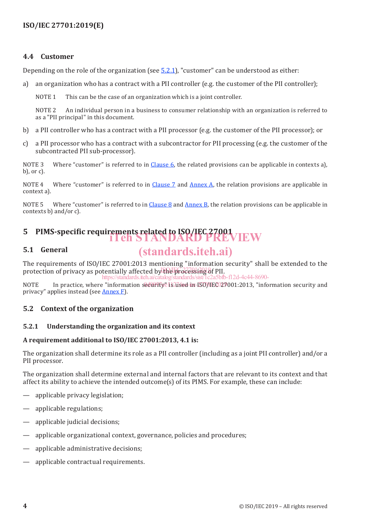# **4.4 Customer**

Depending on the role of the organization (see 5.2.1), "customer" can be understood as either:

a) an organization who has a contract with a PII controller (e.g. the customer of the PII controller);

NOTE 1 This can be the case of an organization which is a joint controller.

NOTE 2 An individual person in a business to consumer relationship with an organization is referred to as a "PII principal" in this document.

- b) a PII controller who has a contract with a PII processor (e.g. the customer of the PII processor); or
- c) a PII processor who has a contract with a subcontractor for PII processing (e.g. the customer of the subcontracted PII sub-processor).

NOTE 3 Where "customer" is referred to in Clause 6, the related provisions can be applicable in contexts a), b), or c).

NOTE 4 Where "customer" is referred to in Clause 7 and Annex A, the relation provisions are applicable in context a).

NOTE 5 Where "customer" is referred to in Clause 8 and  $\Delta$ Annex B, the relation provisions can be applicable in contexts b) and/or c).

# **5 PIMS-specific requirements related to ISO/IEC 27001** iTeh STANDARD PREVIEW

## **5.1 General**

# (standards.iteh.ai)

The requirements of ISO/IEC 27001:2013 mentioning "information security" shall be extended to the protection of privacy as potentially affected by the processing of PII.

NOTE In practice, where "information security" is used in ISO/IEC027001:2013, "information security and https://standards.iteh.ai/catalog/standards/sist/1c2a5bfb-f12d-4c44-8690-

privacy" applies instead (see Annex F).

# **5.2 Context of the organization**

## **5.2.1 Understanding the organization and its context**

#### **A requirement additional to ISO/IEC 27001:2013, 4.1 is:**

The organization shall determine its role as a PII controller (including as a joint PII controller) and/or a PII processor.

The organization shall determine external and internal factors that are relevant to its context and that affect its ability to achieve the intended outcome(s) of its PIMS. For example, these can include:

- applicable privacy legislation;
- applicable regulations;
- applicable judicial decisions:
- applicable organizational context, governance, policies and procedures;
- applicable administrative decisions;
- applicable contractual requirements.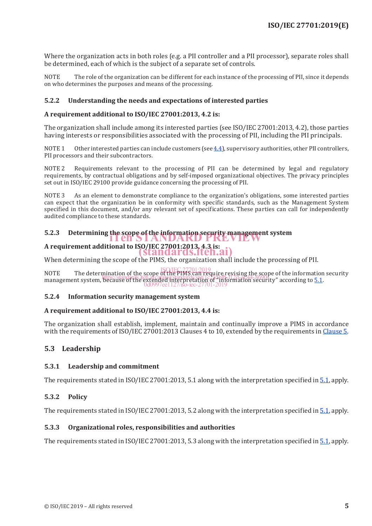Where the organization acts in both roles (e.g. a PII controller and a PII processor), separate roles shall be determined, each of which is the subject of a separate set of controls.

NOTE The role of the organization can be different for each instance of the processing of PII, since it depends on who determines the purposes and means of the processing.

#### **5.2.2 Understanding the needs and expectations of interested parties**

#### **A requirement additional to ISO/IEC 27001:2013, 4.2 is:**

The organization shall include among its interested parties (see ISO/IEC 27001:2013, 4.2), those parties having interests or responsibilities associated with the processing of PII, including the PII principals.

NOTE 1 Other interested parties can include customers (see  $4.4$ ), supervisory authorities, other PII controllers, PII processors and their subcontractors.

NOTE 2 Requirements relevant to the processing of PII can be determined by legal and regulatory requirements, by contractual obligations and by self-imposed organizational objectives. The privacy principles set out in ISO/IEC 29100 provide guidance concerning the processing of PII.

NOTE 3 As an element to demonstrate compliance to the organization's obligations, some interested parties can expect that the organization be in conformity with specific standards, such as the Management System specified in this document, and/or any relevant set of specifications. These parties can call for independently audited compliance to these standards.

# **5.2.3** Determining the scope of the information security management system

#### **A requirement additional to ISO/IEC 27001:2013, 4.3 is:** standards.iteh.ai)

When determining the scope of the PIMS, the organization shall include the processing of PII.

ISO/IEC 27701:2019<br>NOTE The determination of the scope of the prins can require revising the scope of the information security https://standard.ite/interpretation.com/interpretation/interpretation/interpretation/interpretation/interpreta<br>management system, because of the extended interpretation of "information security" according to 5.1. 0d0997ee1127/iso-iec-27701-2019

#### **5.2.4 Information security management system**

#### **A requirement additional to ISO/IEC 27001:2013, 4.4 is:**

The organization shall establish, implement, maintain and continually improve a PIMS in accordance with the requirements of ISO/IEC 27001:2013 Clauses 4 to 10, extended by the requirements in Clause 5.

## **5.3 Leadership**

#### **5.3.1 Leadership and commitment**

The requirements stated in ISO/IEC 27001:2013, 5.1 along with the interpretation specified in 5.1, apply.

# **5.3.2 Policy**

The requirements stated in ISO/IEC 27001:2013, 5.2 along with the interpretation specified in 5.1, apply.

#### **5.3.3 Organizational roles, responsibilities and authorities**

The requirements stated in ISO/IEC 27001:2013, 5.3 along with the interpretation specified in 5.1, apply.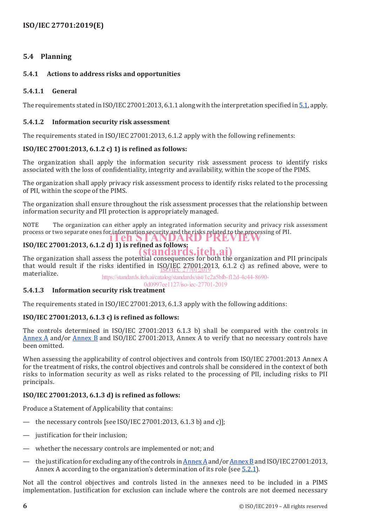# **5.4 Planning**

# **5.4.1 Actions to address risks and opportunities**

# **5.4.1.1 General**

The requirements stated in ISO/IEC 27001:2013, 6.1.1 along with the interpretation specified in 5.1, apply.

### **5.4.1.2 Information security risk assessment**

The requirements stated in ISO/IEC 27001:2013, 6.1.2 apply with the following refinements:

## **ISO/IEC 27001:2013, 6.1.2 c) 1) is refined as follows:**

The organization shall apply the information security risk assessment process to identify risks associated with the loss of confidentiality, integrity and availability, within the scope of the PIMS.

The organization shall apply privacy risk assessment process to identify risks related to the processing of PII, within the scope of the PIMS.

The organization shall ensure throughout the risk assessment processes that the relationship between information security and PII protection is appropriately managed.

NOTE The organization can either apply an integrated information security and privacy risk assessment process or two separate ones for information security and the risks related to the processing of PII.<br>ISO (IEC 27001-2012, 6.1.2.d) 1) is notinged as follows.

# **ISO/IEC 27001:2013, 6.1.2 d) 1) is refined as follows:**

The organization shall assess the potential consequences for both the organization and PII principals that would result if the risks identified in ISO/IEC 27001:2013, 6.1.2 c) as refined above, were to the materialize materialize. andards.iteh.ai<sup>)</sup>

https://standards.iteh.ai/catalog/standards/sist/1c2a5bfb-f12d-4c44-8690-

0d0997ee1127/iso-iec-27701-2019

#### **5.4.1.3 Information security risk treatment**

The requirements stated in ISO/IEC 27001:2013, 6.1.3 apply with the following additions:

## **ISO/IEC 27001:2013, 6.1.3 c) is refined as follows:**

The controls determined in ISO/IEC 27001:2013 6.1.3 b) shall be compared with the controls in Annex A and/or Annex B and ISO/IEC 27001:2013, Annex A to verify that no necessary controls have been omitted.

When assessing the applicability of control objectives and controls from ISO/IEC 27001:2013 Annex A for the treatment of risks, the control objectives and controls shall be considered in the context of both risks to information security as well as risks related to the processing of PII, including risks to PII principals.

## **ISO/IEC 27001:2013, 6.1.3 d) is refined as follows:**

Produce a Statement of Applicability that contains:

- the necessary controls [see ISO/IEC 27001:2013, 6.1.3 b) and c]];
- justification for their inclusion;
- whether the necessary controls are implemented or not; and
- the justification for excluding any of the controls in Annex A and/or Annex B and ISO/IEC 27001:2013, Annex A according to the organization's determination of its role (see 5.2.1).

Not all the control objectives and controls listed in the annexes need to be included in a PIMS implementation. Justification for exclusion can include where the controls are not deemed necessary